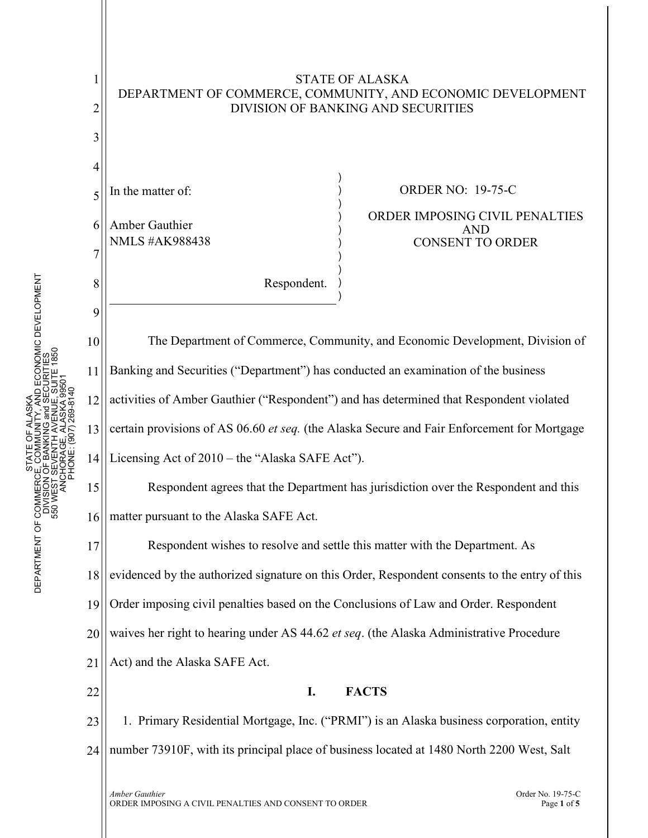

STATE OF ALASKA DEPARTMENT OF COMMERCE, COMMUNITY, AND ECONOMIC DEVELOPMENT

LASKA<br>TY, ABCOUQMIC DEVELOPMENT<br>ENUE, SUITE 1850<br>ENUE, SUITE 1850 DEPARTMENT OF COMMERCE, COMMUNITY, AND ECONOMIC DEVELOPMENT 550 WEST SEVENTH AVENUE, SUITE 1850 DIVISION OF BANKING and SECURITIES ANCHORAGE, ALASKA 99501 PHONE: (907) 269-8140 STATE OF ALASKA STATE<br>JE, CON<br>OF BAI DEPARTMENT OF COMMERCI<br>DIVISION<br>S50 WEST S

1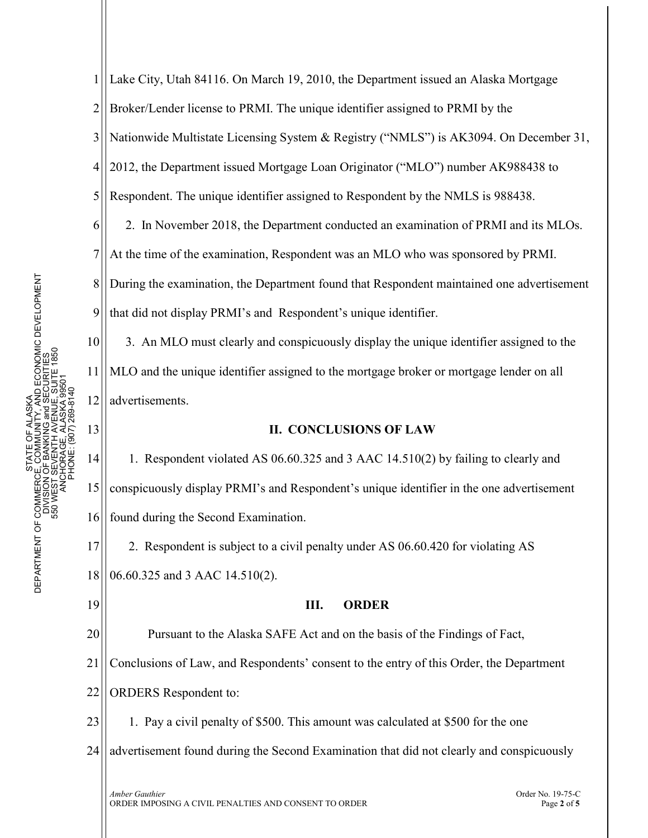1 2 3 4 5 6 7 8 9 10 11 Lake City, Utah 84116. On March 19, 2010, the Department issued an Alaska Mortgage Broker/Lender license to PRMI. The unique identifier assigned to PRMI by the Nationwide Multistate Licensing System & Registry ("NMLS") is AK3094. On December 31, 2012, the Department issued Mortgage Loan Originator ("MLO") number AK988438 to Respondent. The unique identifier assigned to Respondent by the NMLS is 988438. 2. In November 2018, the Department conducted an examination of PRMI and its MLOs. At the time of the examination, Respondent was an MLO who was sponsored by PRMI. During the examination, the Department found that Respondent maintained one advertisement that did not display PRMI's and Respondent's unique identifier. 3. An MLO must clearly and conspicuously display the unique identifier assigned to the MLO and the unique identifier assigned to the mortgage broker or mortgage lender on all

**II. CONCLUSIONS OF LAW**

14 15 16 1. Respondent violated AS 06.60.325 and 3 AAC 14.510(2) by failing to clearly and conspicuously display PRMI's and Respondent's unique identifier in the one advertisement found during the Second Examination.

17 18 2. Respondent is subject to a civil penalty under AS 06.60.420 for violating AS 06.60.325 and 3 AAC 14.510(2).

19

12

advertisements.

13

## **III. ORDER**

20 Pursuant to the Alaska SAFE Act and on the basis of the Findings of Fact,

21 Conclusions of Law, and Respondents' consent to the entry of this Order, the Department

22 ORDERS Respondent to:

23 1. Pay a civil penalty of \$500. This amount was calculated at \$500 for the one

24 advertisement found during the Second Examination that did not clearly and conspicuously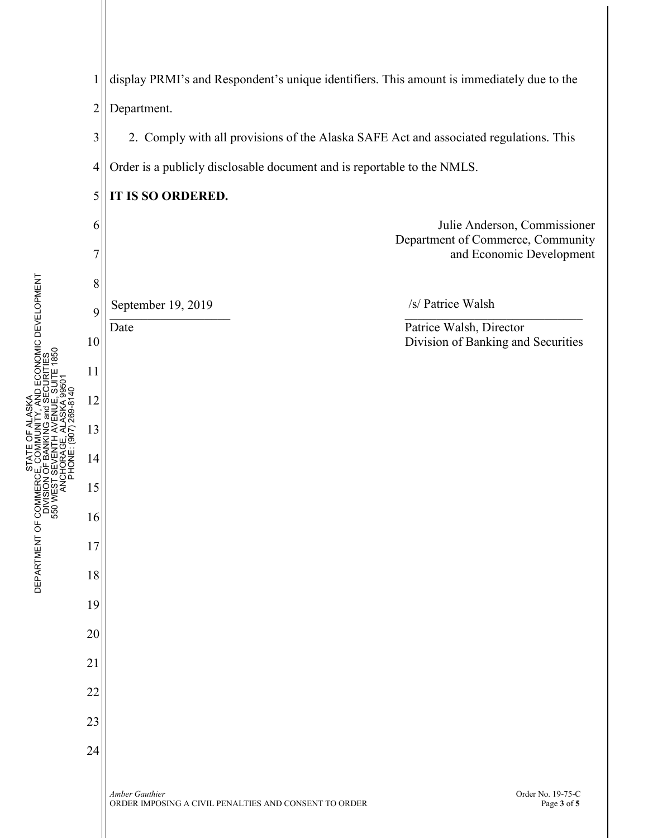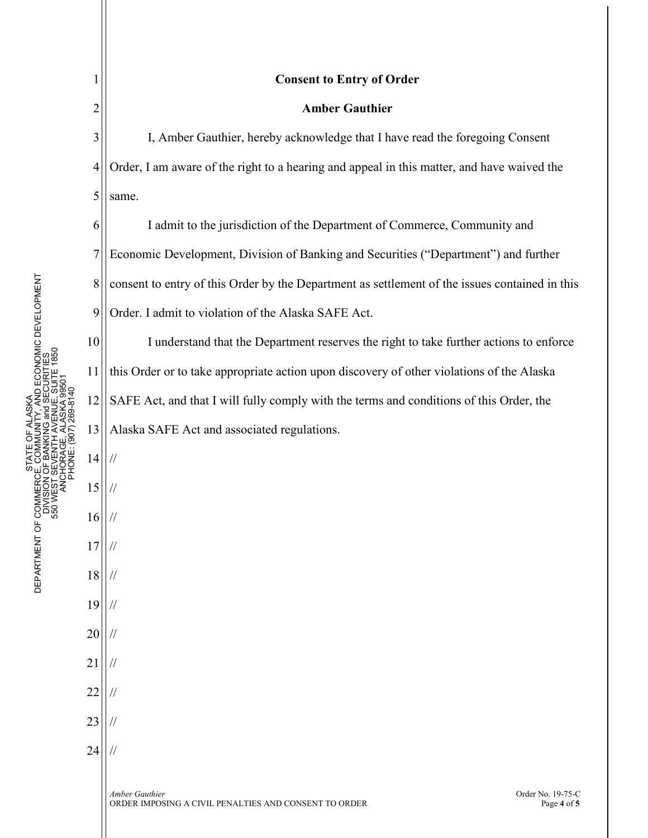1

2

10

11

14

//

//

//

//

//

//

//

//

//

//

//

15

16

17

18

19

20

21

22

23

24

## **Consent to Entry of Order**

## **Amber Gauthier**

3 4 5 I, Amber Gauthier, hereby acknowledge that I have read the foregoing Consent Order, I am aware of the right to a hearing and appeal in this matter, and have waived the same.

6 7 8 9 I admit to the jurisdiction of the Department of Commerce, Community and Economic Development, Division of Banking and Securities ("Department") and further consent to entry of this Order by the Department as settlement of the issues contained in this Order. I admit to violation of the Alaska SAFE Act.

12 13 I understand that the Department reserves the right to take further actions to enforce this Order or to take appropriate action upon discovery of other violations of the Alaska SAFE Act, and that I will fully comply with the terms and conditions of this Order, the Alaska SAFE Act and associated regulations.